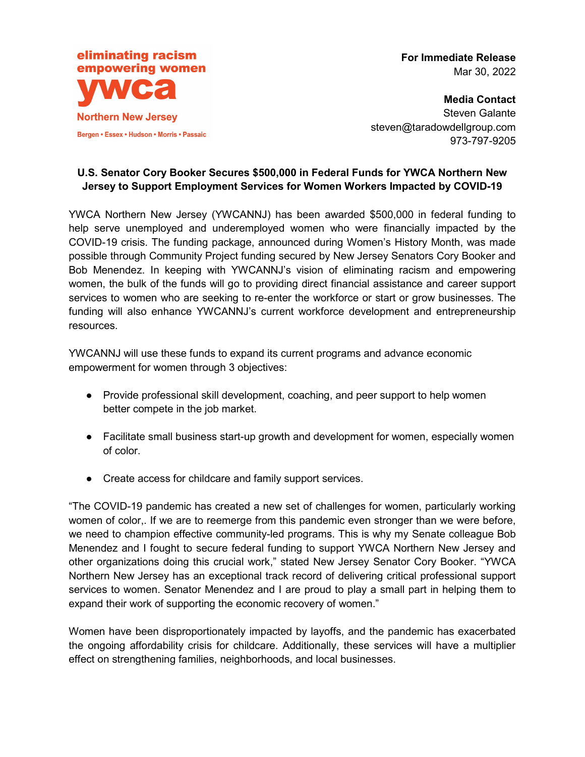

**For Immediate Release**  Mar 30, 2022

**Media Contact**  Steven Galante steven@taradowdellgroup.com 973-797-9205

## **U.S. Senator Cory Booker Secures \$500,000 in Federal Funds for YWCA Northern New Jersey to Support Employment Services for Women Workers Impacted by COVID-19**

YWCA Northern New Jersey (YWCANNJ) has been awarded \$500,000 in federal funding to help serve unemployed and underemployed women who were financially impacted by the COVID-19 crisis. The funding package, announced during Women's History Month, was made possible through Community Project funding secured by New Jersey Senators Cory Booker and Bob Menendez. In keeping with YWCANNJ's vision of eliminating racism and empowering women, the bulk of the funds will go to providing direct financial assistance and career support services to women who are seeking to re-enter the workforce or start or grow businesses. The funding will also enhance YWCANNJ's current workforce development and entrepreneurship resources.

YWCANNJ will use these funds to expand its current programs and advance economic empowerment for women through 3 objectives:

- Provide professional skill development, coaching, and peer support to help women better compete in the job market.
- Facilitate small business start-up growth and development for women, especially women of color.
- Create access for childcare and family support services.

"The COVID-19 pandemic has created a new set of challenges for women, particularly working women of color,. If we are to reemerge from this pandemic even stronger than we were before, we need to champion effective community-led programs. This is why my Senate colleague Bob Menendez and I fought to secure federal funding to support YWCA Northern New Jersey and other organizations doing this crucial work," stated New Jersey Senator Cory Booker. "YWCA Northern New Jersey has an exceptional track record of delivering critical professional support services to women. Senator Menendez and I are proud to play a small part in helping them to expand their work of supporting the economic recovery of women."

Women have been disproportionately impacted by layoffs, and the pandemic has exacerbated the ongoing affordability crisis for childcare. Additionally, these services will have a multiplier effect on strengthening families, neighborhoods, and local businesses.